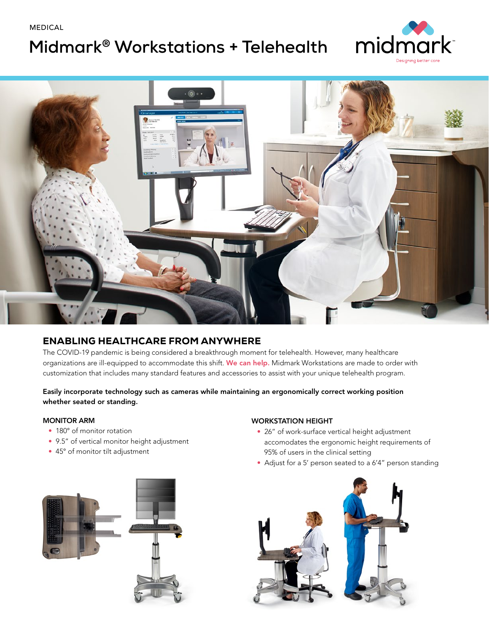MEDICAL

# **Midmark® Workstations + Telehealth**





## ENABLING HEALTHCARE FROM ANYWHERE

The COVID-19 pandemic is being considered a breakthrough moment for telehealth. However, many healthcare organizations are ill-equipped to accommodate this shift. We can help. Midmark Workstations are made to order with customization that includes many standard features and accessories to assist with your unique telehealth program.

#### Easily incorporate technology such as cameras while maintaining an ergonomically correct working position whether seated or standing.

#### MONITOR ARM

- 180° of monitor rotation
- 9.5" of vertical monitor height adjustment
- 45° of monitor tilt adjustment

#### WORKSTATION HEIGHT

- 26" of work-surface vertical height adjustment accomodates the ergonomic height requirements of 95% of users in the clinical setting
- Adjust for a 5' person seated to a 6'4" person standing